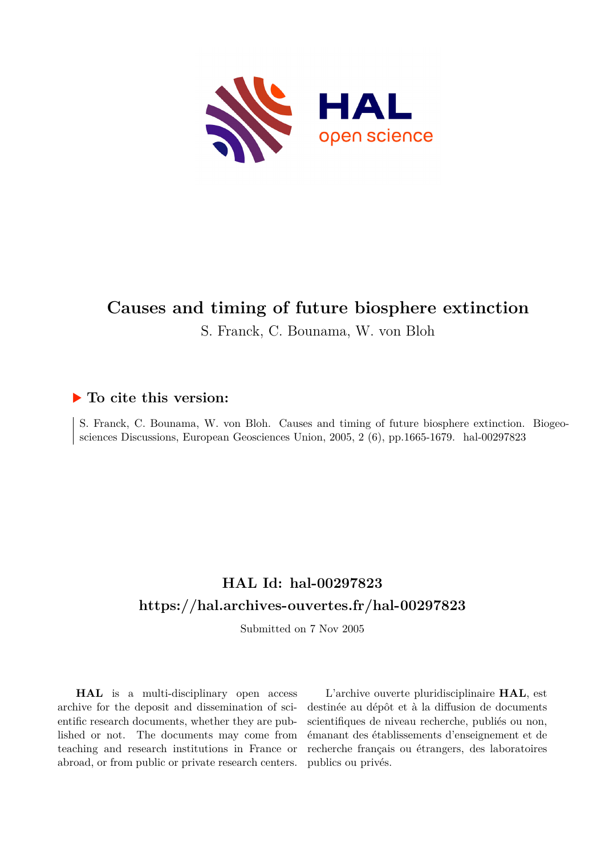

## **Causes and timing of future biosphere extinction**

S. Franck, C. Bounama, W. von Bloh

## **To cite this version:**

S. Franck, C. Bounama, W. von Bloh. Causes and timing of future biosphere extinction. Biogeosciences Discussions, European Geosciences Union, 2005, 2 (6), pp.1665-1679. hal-00297823

## **HAL Id: hal-00297823 <https://hal.archives-ouvertes.fr/hal-00297823>**

Submitted on 7 Nov 2005

**HAL** is a multi-disciplinary open access archive for the deposit and dissemination of scientific research documents, whether they are published or not. The documents may come from teaching and research institutions in France or abroad, or from public or private research centers.

L'archive ouverte pluridisciplinaire **HAL**, est destinée au dépôt et à la diffusion de documents scientifiques de niveau recherche, publiés ou non, émanant des établissements d'enseignement et de recherche français ou étrangers, des laboratoires publics ou privés.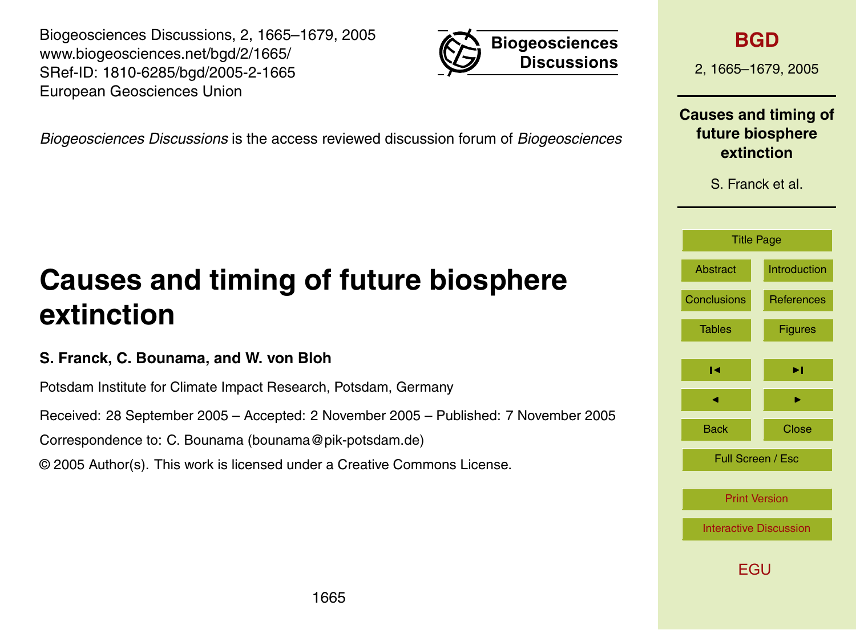Biogeosciences Discussions, 2, 1665–1679, 2005 www.biogeosciences.net/bgd/2/1665/ SRef-ID: 1810-6285/bgd/2005-2-1665 European Geosciences Union



*Biogeosciences Discussions* is the access reviewed discussion forum of *Biogeosciences*

# **Causes and timing of future biosphere extinction**

### **S. Franck, C. Bounama, and W. von Bloh**

Potsdam Institute for Climate Impact Research, Potsdam, Germany

Received: 28 September 2005 – Accepted: 2 November 2005 – Published: 7 November 2005

Correspondence to: C. Bounama (bounama@pik-potsdam.de)

© 2005 Author(s). This work is licensed under a Creative Commons License.

## **[BGD](http://www.biogeosciences.net/bgd.htm)**

2, 1665–1679, 2005

### **Causes and timing of future biosphere extinction**

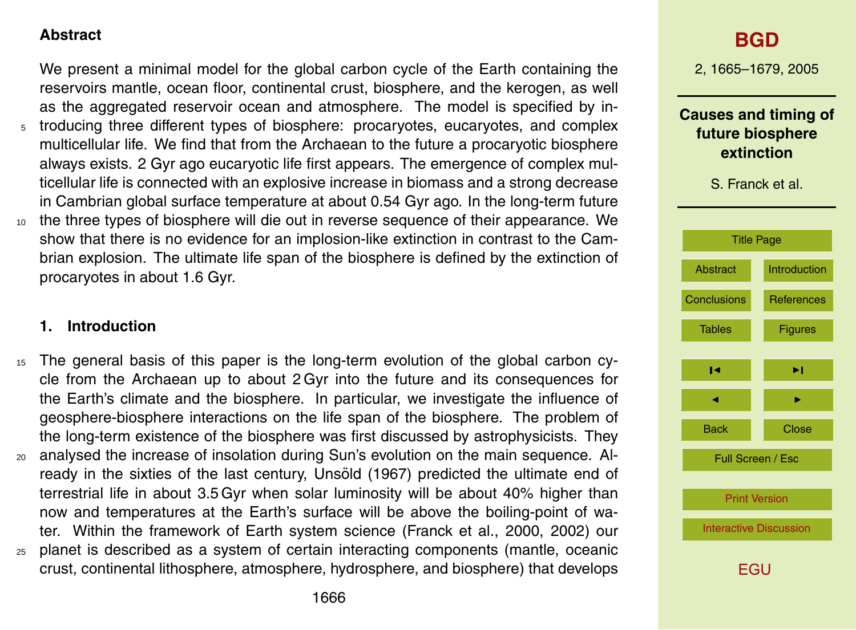#### **Abstract**

We present a minimal model for the global carbon cycle of the Earth containing the reservoirs mantle, ocean floor, continental crust, biosphere, and the kerogen, as well as the aggregated reservoir ocean and atmosphere. The model is specified by in-<sup>5</sup> troducing three different types of biosphere: procaryotes, eucaryotes, and complex multicellular life. We find that from the Archaean to the future a procaryotic biosphere always exists. 2 Gyr ago eucaryotic life first appears. The emergence of complex multicellular life is connected with an explosive increase in biomass and a strong decrease in Cambrian global surface temperature at about 0.54 Gyr ago. In the long-term future

<sup>10</sup> the three types of biosphere will die out in reverse sequence of their appearance. We show that there is no evidence for an implosion-like extinction in contrast to the Cambrian explosion. The ultimate life span of the biosphere is defined by the extinction of procaryotes in about 1.6 Gyr.

#### **1. Introduction**

- <sup>15</sup> The general basis of this paper is the long-term evolution of the global carbon cycle from the Archaean up to about 2 Gyr into the future and its consequences for the Earth's climate and the biosphere. In particular, we investigate the influence of geosphere-biosphere interactions on the life span of the biosphere. The problem of the long-term existence of the biosphere was first discussed by astrophysicists. They
- <sup>20</sup> analysed the increase of insolation during Sun's evolution on the main sequence. Already in the sixties of the last century, Unsold (1967) predicted the ultimate end of terrestrial life in about 3.5 Gyr when solar luminosity will be about 40% higher than now and temperatures at the Earth's surface will be above the boiling-point of water. Within the framework of Earth system science (Franck et al., 2000, 2002) our <sup>25</sup> planet is described as a system of certain interacting components (mantle, oceanic
- crust, continental lithosphere, atmosphere, hydrosphere, and biosphere) that develops

## **[BGD](http://www.biogeosciences.net/bgd.htm)**

2, 1665–1679, 2005

### **Causes and timing of future biosphere extinction**

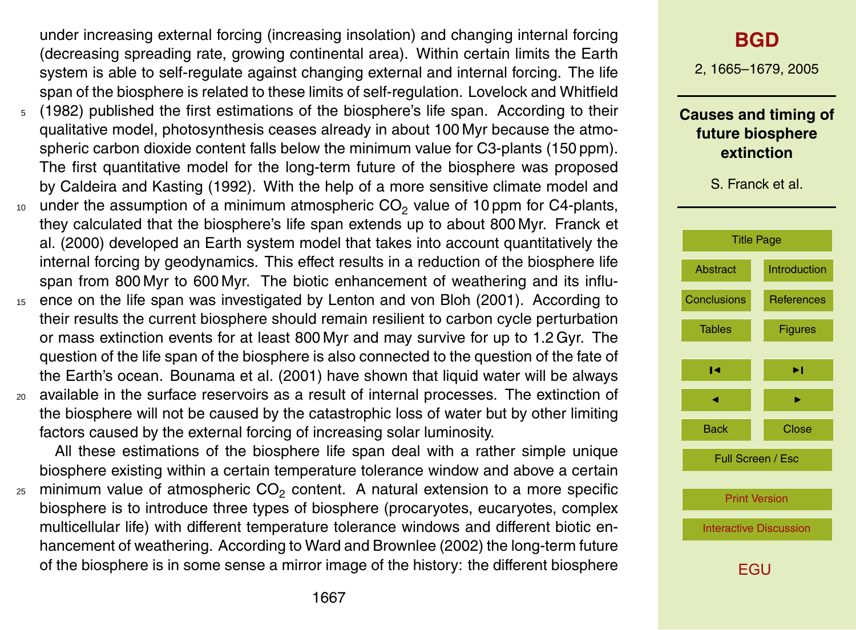under increasing external forcing (increasing insolation) and changing internal forcing (decreasing spreading rate, growing continental area). Within certain limits the Earth system is able to self-regulate against changing external and internal forcing. The life span of the biosphere is related to these limits of self-regulation. Lovelock and Whitfield <sup>5</sup> (1982) published the first estimations of the biosphere's life span. According to their

- qualitative model, photosynthesis ceases already in about 100 Myr because the atmospheric carbon dioxide content falls below the minimum value for C3-plants (150 ppm). The first quantitative model for the long-term future of the biosphere was proposed by Caldeira and Kasting (1992). With the help of a more sensitive climate model and
- $_{10}$  under the assumption of a minimum atmospheric CO<sub>2</sub> value of 10 ppm for C4-plants, they calculated that the biosphere's life span extends up to about 800 Myr. Franck et al. (2000) developed an Earth system model that takes into account quantitatively the internal forcing by geodynamics. This effect results in a reduction of the biosphere life span from 800 Myr to 600 Myr. The biotic enhancement of weathering and its influ-
- <sup>15</sup> ence on the life span was investigated by Lenton and von Bloh (2001). According to their results the current biosphere should remain resilient to carbon cycle perturbation or mass extinction events for at least 800 Myr and may survive for up to 1.2 Gyr. The question of the life span of the biosphere is also connected to the question of the fate of the Earth's ocean. Bounama et al. (2001) have shown that liquid water will be always
- <sup>20</sup> available in the surface reservoirs as a result of internal processes. The extinction of the biosphere will not be caused by the catastrophic loss of water but by other limiting factors caused by the external forcing of increasing solar luminosity.

All these estimations of the biosphere life span deal with a rather simple unique biosphere existing within a certain temperature tolerance window and above a certain  $_{\rm z5}$  minimum value of atmospheric CO<sub>2</sub> content. A natural extension to a more specific biosphere is to introduce three types of biosphere (procaryotes, eucaryotes, complex multicellular life) with different temperature tolerance windows and different biotic enhancement of weathering. According to Ward and Brownlee (2002) the long-term future of the biosphere is in some sense a mirror image of the history: the different biosphere

## **[BGD](http://www.biogeosciences.net/bgd.htm)**

2, 1665–1679, 2005

#### **Causes and timing of future biosphere extinction**

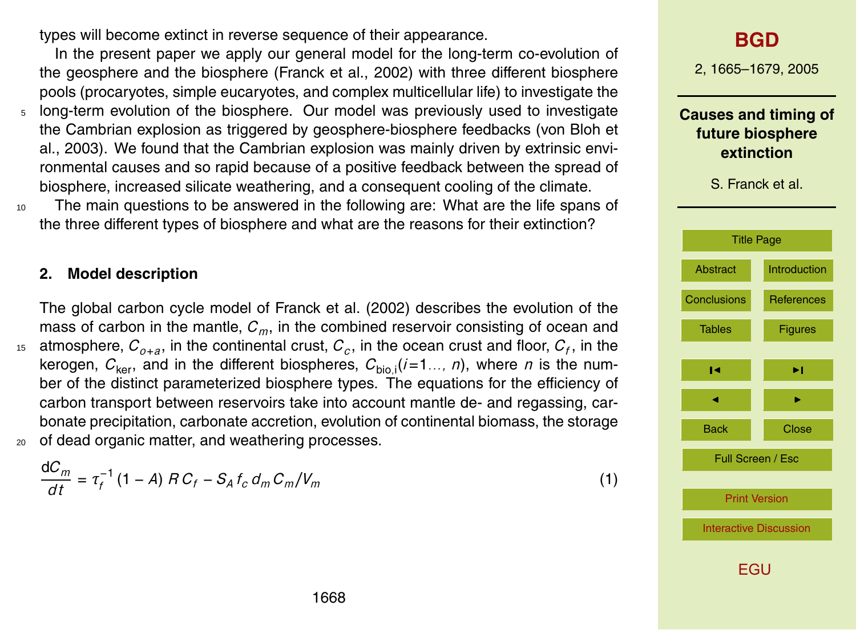types will become extinct in reverse sequence of their appearance.

In the present paper we apply our general model for the long-term co-evolution of the geosphere and the biosphere (Franck et al., 2002) with three different biosphere pools (procaryotes, simple eucaryotes, and complex multicellular life) to investigate the <sup>5</sup> long-term evolution of the biosphere. Our model was previously used to investigate the Cambrian explosion as triggered by geosphere-biosphere feedbacks (von Bloh et al., 2003). We found that the Cambrian explosion was mainly driven by extrinsic environmental causes and so rapid because of a positive feedback between the spread of biosphere, increased silicate weathering, and a consequent cooling of the climate.

<sup>10</sup> The main questions to be answered in the following are: What are the life spans of the three different types of biosphere and what are the reasons for their extinction?

#### **2. Model description**

The global carbon cycle model of Franck et al. (2002) describes the evolution of the mass of carbon in the mantle, *Cm*, in the combined reservoir consisting of ocean and  $\alpha$  atmosphere,  $C_{o+a}$ , in the continental crust,  $C_c$ , in the ocean crust and floor,  $C_f$ , in the kerogen,  $C_{\text{ker}}$ , and in the different biospheres,  $C_{\text{bio},\text{i}}(\textit{i}=1\ldots, n)$ , where *n* is the number of the distinct parameterized biosphere types. The equations for the efficiency of carbon transport between reservoirs take into account mantle de- and regassing, carbonate precipitation, carbonate accretion, evolution of continental biomass, the storage <sup>20</sup> of dead organic matter, and weathering processes.

$$
\frac{dC_m}{dt} = \tau_f^{-1} (1 - A) \, R \, C_f - S_A \, t_c \, d_m \, C_m / V_m \tag{1}
$$

## **[BGD](http://www.biogeosciences.net/bgd.htm)**

2, 1665–1679, 2005

#### **Causes and timing of future biosphere extinction**

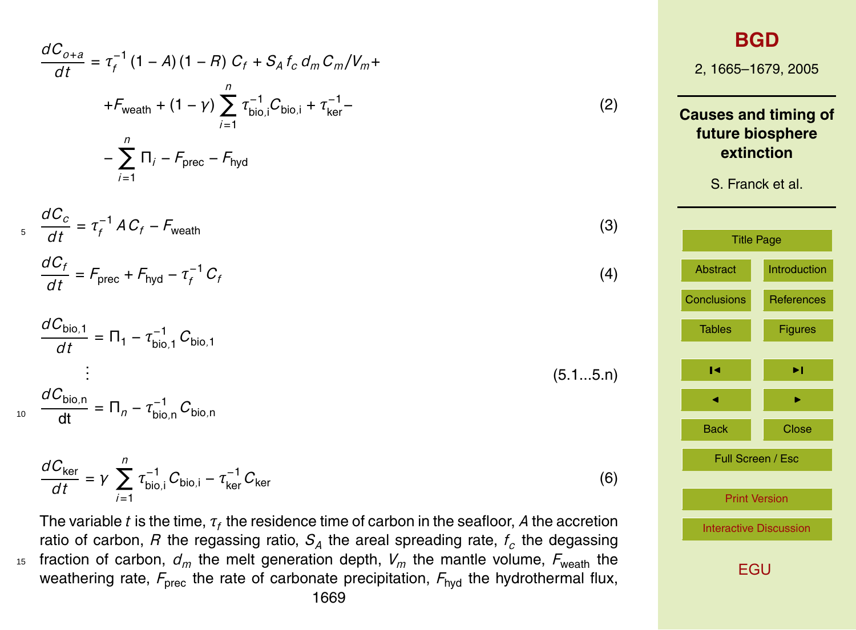$$
\frac{dC_{o+a}}{dt} = \tau_f^{-1} (1 - A) (1 - R) C_f + S_A f_c d_m C_m/V_m +
$$
  
\n+ $F_{\text{wealth}} + (1 - \gamma) \sum_{i=1}^n \tau_{\text{bio},i}^{-1} C_{\text{bio},i} + \tau_{\text{ker}}^{-1}$   
\n- $\sum_{i=1}^n \Pi_i - F_{\text{prec}} - F_{\text{hyd}}$   
\n3. Frank et al.  
\n(3)  
\n
$$
\frac{dC_f}{dt} = \tau_f^{-1} AC_f - F_{\text{wealth}}
$$
  
\n(4)  
\n4.  $\frac{dC_f}{dt} = F_{\text{prec}} + F_{\text{hyd}} - \tau_f^{-1} C_f$   
\n5. Frank et al.  
\n(5)

$$
\frac{dC_{\text{bio},1}}{dt} = \Pi_1 - \tau_{\text{bio},1}^{-1} C_{\text{bio},1}
$$
\n
$$
\vdots
$$
\n(5.1...5.n)

*dC*bio*,*<sup>n</sup>  $\frac{d^2D_{\text{bio},n}}{dt} = \Pi_n - \tau_{\text{bio},n}^{-1}C_{\text{bio},n}$ 

$$
\frac{dC_{\text{ker}}}{dt} = \gamma \sum_{i=1}^{n} \tau_{\text{bio},i}^{-1} C_{\text{bio},i} - \tau_{\text{ker}}^{-1} C_{\text{ker}} \tag{6}
$$

The variable  $t$  is the time,  $\tau_f$  the residence time of carbon in the seafloor,  $A$  the accretion ratio of carbon,  $R$  the regassing ratio,  $S_A$  the areal spreading rate,  $f_c$  the degassing <sup>15</sup> fraction of carbon,  $d_m$  the melt generation depth,  $V_m$  the mantle volume,  $F_{\text{wealth}}$  the weathering rate,  $F_{\text{prec}}$  the rate of carbonate precipitation,  $F_{\text{hyd}}$  the hydrothermal flux, 1669

Tables | Figures

 $\blacksquare$ 

 $\blacksquare$ 

Back Close

Full Screen / Esc

[Print Version](http://www.biogeosciences.net/bgd/2/1665/bgd-2-1665_p.pdf)

[Interactive Discussion](http://www.biogeosciences.net/bgd/2/1665/comments.php)

**Iuction** 

ences<sup>.</sup>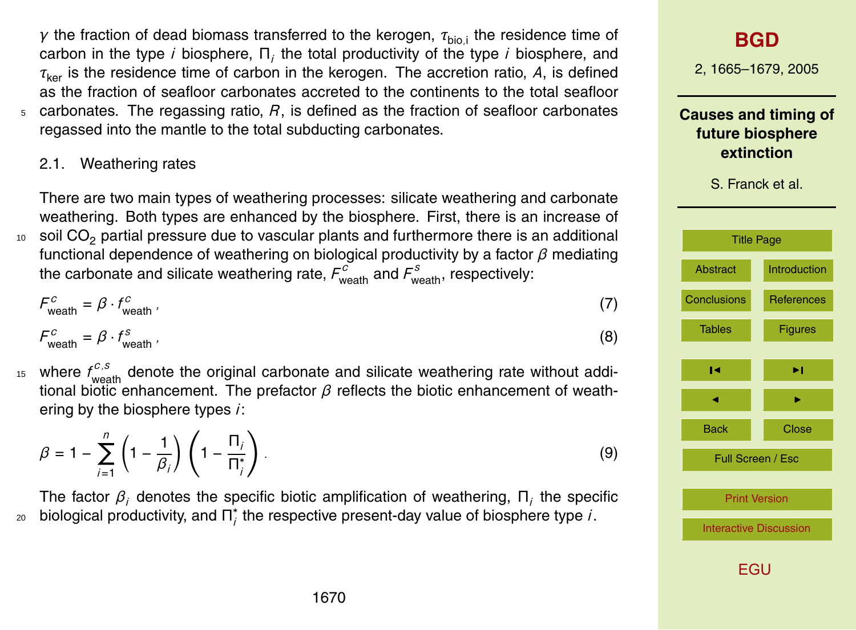*γ* the fraction of dead biomass transferred to the kerogen,  $\tau_{\mathsf{bio},i}$  the residence time of carbon in the type *i* biosphere, Π*<sup>i</sup>* the total productivity of the type *i* biosphere, and *τ*ker is the residence time of carbon in the kerogen. The accretion ratio, *A*, is defined as the fraction of seafloor carbonates accreted to the continents to the total seafloor <sup>5</sup> carbonates. The regassing ratio, *R*, is defined as the fraction of seafloor carbonates regassed into the mantle to the total subducting carbonates.

2.1. Weathering rates

There are two main types of weathering processes: silicate weathering and carbonate weathering. Both types are enhanced by the biosphere. First, there is an increase of  $10<sub>10</sub>$  soil CO<sub>2</sub> partial pressure due to vascular plants and furthermore there is an additional functional dependence of weathering on biological productivity by a factor *β* mediating the carbonate and silicate weathering rate,  $F_{\text{wealth}}^c$  and  $F_{\text{wealth}}^s$ , respectively:

$$
F_{\text{wealth}}^c = \beta \cdot f_{\text{wealth}}^c \tag{7}
$$

$$
F_{\text{wealth}}^c = \beta \cdot f_{\text{wealth}}^s \tag{8}
$$

<sup>15</sup> where  $f_{\text{weight}}^{c,s}$  denote the original carbonate and silicate weathering rate without additional biotic enhancement. The prefactor *β* reflects the biotic enhancement of weathering by the biosphere types *i*:

$$
\beta = 1 - \sum_{i=1}^{n} \left( 1 - \frac{1}{\beta_i} \right) \left( 1 - \frac{\Pi_i}{\Pi_i^*} \right).
$$
\n(9)

The factor *β<sup>i</sup>* denotes the specific biotic amplification of weathering, Π*<sup>i</sup>* the specific biological productivity, and  $\Pi_i^*$  $_{\rm 20}$  biological productivity, and  $\boldsymbol{\Pi}^*_i$  the respective present-day value of biosphere type *i*.

## **[BGD](http://www.biogeosciences.net/bgd.htm)**

2, 1665–1679, 2005

**Causes and timing of future biosphere extinction**

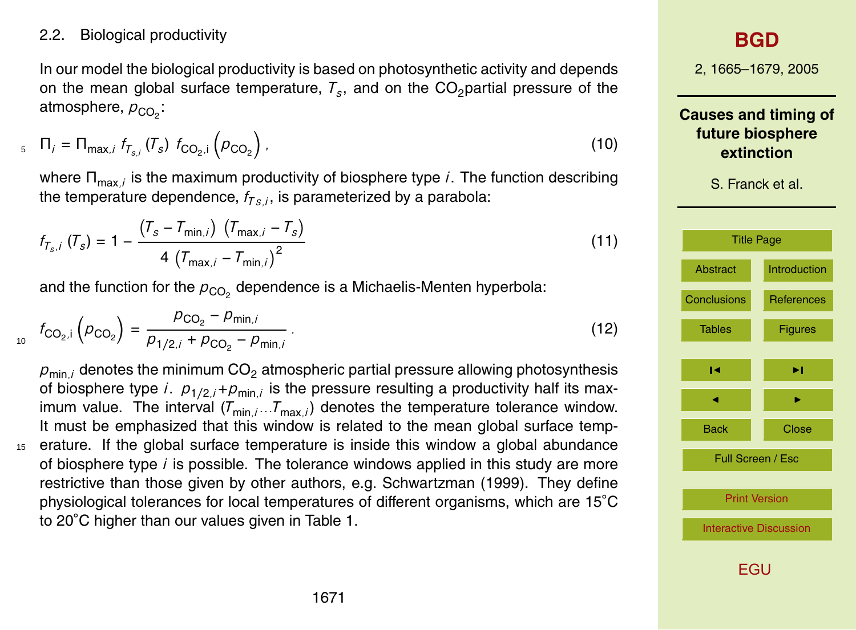2.2. Biological productivity

In our model the biological productivity is based on photosynthetic activity and depends on the mean global surface temperature,  $\mathcal{T}_s$ , and on the CO<sub>2</sub>partial pressure of the atmosphere,  $\rho_{\text{CO}_2}$ :

$$
T_{i} = \Pi_{\max,i} f_{T_{s,i}}(T_s) f_{CO_2,i} \left( p_{CO_2} \right), \qquad (10)
$$

where Π<sub>max *i*</sub> is the maximum productivity of biosphere type *i*. The function describing the temperature dependence,  $f_{TS,i}$ , is parameterized by a parabola:

$$
f_{T_{s},i} (T_s) = 1 - \frac{(T_s - T_{\min,i}) (T_{\max,i} - T_s)}{4 (T_{\max,i} - T_{\min,i})^2}
$$
(11)

and the function for the  $\rho_{{\rm CO}_2}$  dependence is a Michaelis-Menten hyperbola:

$$
f_{\text{CO}_2,i} \left( p_{\text{CO}_2} \right) = \frac{p_{\text{CO}_2} - p_{\text{min},i}}{p_{1/2,i} + p_{\text{CO}_2} - p_{\text{min},i}} \,. \tag{12}
$$

 $p_{\text{min }i}$  denotes the minimum  $CO<sub>2</sub>$  atmospheric partial pressure allowing photosynthesis of biosphere type *i*.  $p_{1/2,i} + p_{\text{min},i}$  is the pressure resulting a productivity half its maximum value. The interval  $(T_{min,i}$ *...* $T_{max,i}$  denotes the temperature tolerance window. It must be emphasized that this window is related to the mean global surface temp-<sup>15</sup> erature. If the global surface temperature is inside this window a global abundance of biosphere type *i* is possible. The tolerance windows applied in this study are more restrictive than those given by other authors, e.g. Schwartzman (1999). They define physiological tolerances for local temperatures of different organisms, which are 15◦C to 20◦C higher than our values given in Table 1.

## **[BGD](http://www.biogeosciences.net/bgd.htm)**

2, 1665–1679, 2005

**Causes and timing of future biosphere extinction**

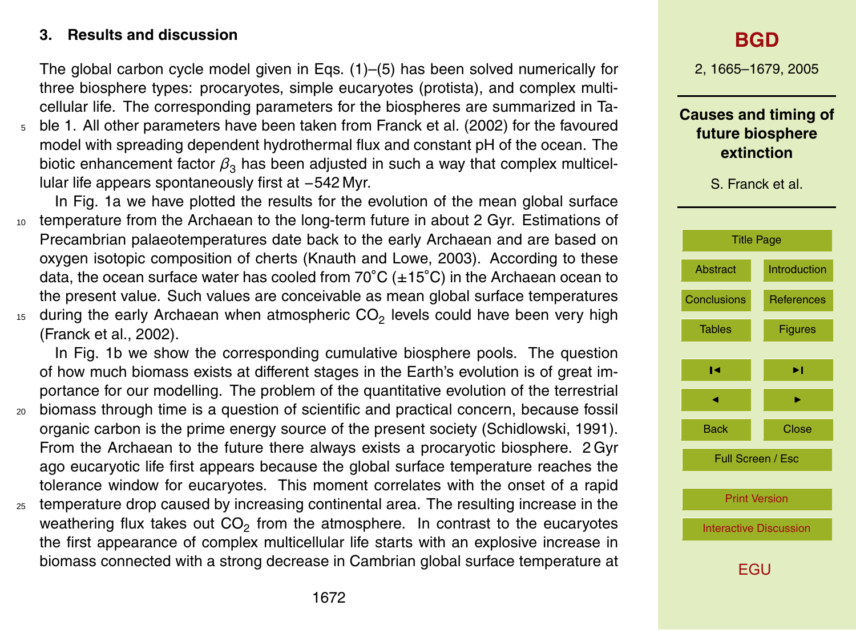#### **3. Results and discussion**

The global carbon cycle model given in Eqs. (1)–(5) has been solved numerically for three biosphere types: procaryotes, simple eucaryotes (protista), and complex multicellular life. The corresponding parameters for the biospheres are summarized in Ta-<sup>5</sup> ble 1. All other parameters have been taken from Franck et al. (2002) for the favoured

model with spreading dependent hydrothermal flux and constant pH of the ocean. The biotic enhancement factor  $\beta_3$  has been adjusted in such a way that complex multicellular life appears spontaneously first at −542 Myr.

In Fig. 1a we have plotted the results for the evolution of the mean global surface <sup>10</sup> temperature from the Archaean to the long-term future in about 2 Gyr. Estimations of Precambrian palaeotemperatures date back to the early Archaean and are based on oxygen isotopic composition of cherts (Knauth and Lowe, 2003). According to these data, the ocean surface water has cooled from  $70^{\circ}$ C ( $\pm 15^{\circ}$ C) in the Archaean ocean to the present value. Such values are conceivable as mean global surface temperatures 15 during the early Archaean when atmospheric CO<sub>2</sub> levels could have been very high

(Franck et al., 2002).

In Fig. 1b we show the corresponding cumulative biosphere pools. The question of how much biomass exists at different stages in the Earth's evolution is of great importance for our modelling. The problem of the quantitative evolution of the terrestrial <sup>20</sup> biomass through time is a question of scientific and practical concern, because fossil organic carbon is the prime energy source of the present society (Schidlowski, 1991). From the Archaean to the future there always exists a procaryotic biosphere. 2 Gyr ago eucaryotic life first appears because the global surface temperature reaches the tolerance window for eucaryotes. This moment correlates with the onset of a rapid <sup>25</sup> temperature drop caused by increasing continental area. The resulting increase in the weathering flux takes out  $CO_2$  from the atmosphere. In contrast to the eucaryotes

the first appearance of complex multicellular life starts with an explosive increase in biomass connected with a strong decrease in Cambrian global surface temperature at

## **[BGD](http://www.biogeosciences.net/bgd.htm)**

2, 1665–1679, 2005

#### **Causes and timing of future biosphere extinction**

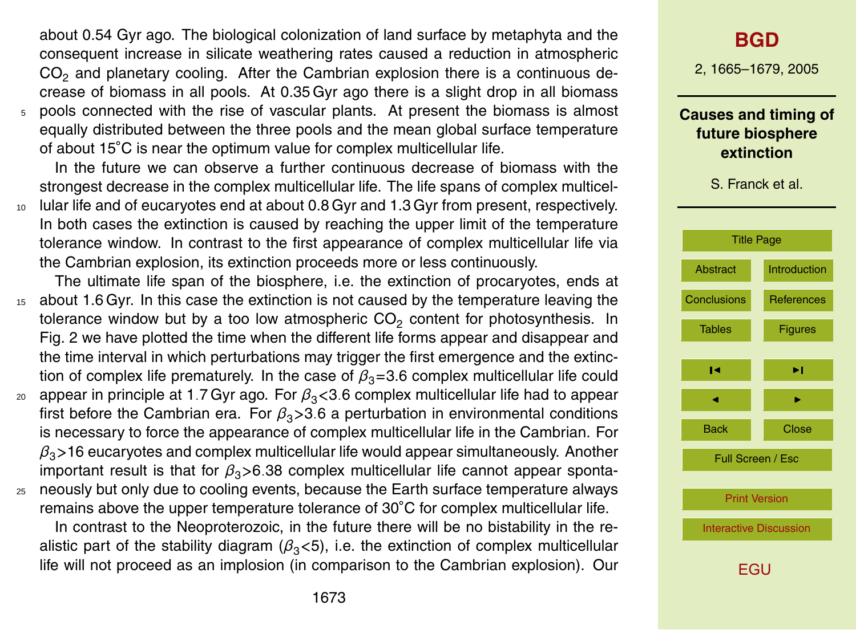about 0.54 Gyr ago. The biological colonization of land surface by metaphyta and the consequent increase in silicate weathering rates caused a reduction in atmospheric  $CO<sub>2</sub>$  and planetary cooling. After the Cambrian explosion there is a continuous decrease of biomass in all pools. At 0.35 Gyr ago there is a slight drop in all biomass <sup>5</sup> pools connected with the rise of vascular plants. At present the biomass is almost equally distributed between the three pools and the mean global surface temperature of about 15°C is near the optimum value for complex multicellular life.

In the future we can observe a further continuous decrease of biomass with the strongest decrease in the complex multicellular life. The life spans of complex multicel-<sup>10</sup> lular life and of eucaryotes end at about 0.8 Gyr and 1.3 Gyr from present, respectively.

- In both cases the extinction is caused by reaching the upper limit of the temperature tolerance window. In contrast to the first appearance of complex multicellular life via the Cambrian explosion, its extinction proceeds more or less continuously.
- The ultimate life span of the biosphere, i.e. the extinction of procaryotes, ends at <sup>15</sup> about 1.6 Gyr. In this case the extinction is not caused by the temperature leaving the tolerance window but by a too low atmospheric CO<sub>2</sub> content for photosynthesis. In Fig. 2 we have plotted the time when the different life forms appear and disappear and the time interval in which perturbations may trigger the first emergence and the extinction of complex life prematurely. In the case of  $\beta_3$ =3.6 complex multicellular life could <sup>20</sup> appear in principle at 1*.*7 Gyr ago. For *β*3*<*3*.*6 complex multicellular life had to appear first before the Cambrian era. For  $\beta_3$ >3.6 a perturbation in environmental conditions is necessary to force the appearance of complex multicellular life in the Cambrian. For *β*3*>*16 eucaryotes and complex multicellular life would appear simultaneously. Another important result is that for *β*3*>*6*.*38 complex multicellular life cannot appear sponta-
- <sup>25</sup> neously but only due to cooling events, because the Earth surface temperature always remains above the upper temperature tolerance of 30◦C for complex multicellular life. In contrast to the Neoproterozoic, in the future there will be no bistability in the re-

alistic part of the stability diagram  $(\beta_3<5)$ , i.e. the extinction of complex multicellular life will not proceed as an implosion (in comparison to the Cambrian explosion). Our

## **[BGD](http://www.biogeosciences.net/bgd.htm)**

2, 1665–1679, 2005

#### **Causes and timing of future biosphere extinction**

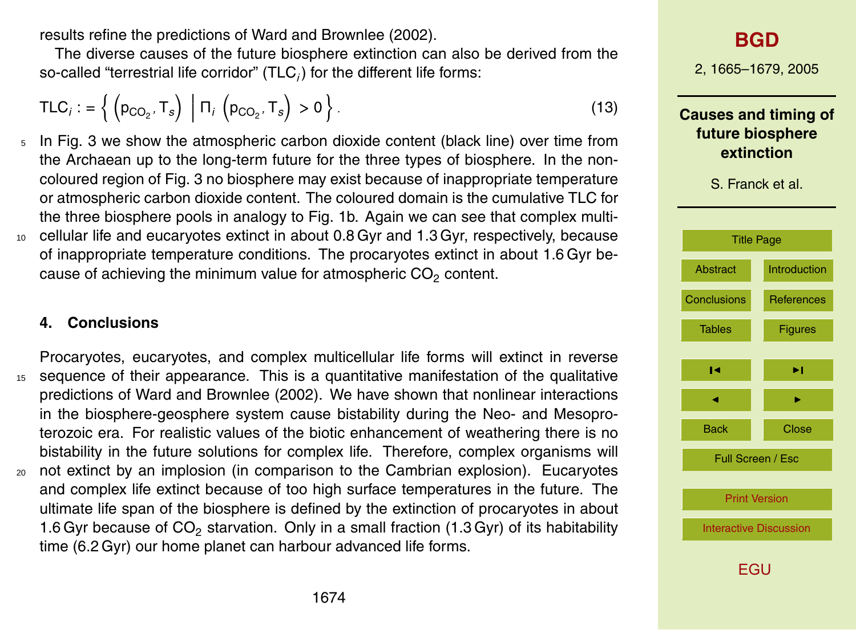results refine the predictions of Ward and Brownlee (2002).

The diverse causes of the future biosphere extinction can also be derived from the so-called "terrestrial life corridor"  $(\mathsf{TLC}_i)$  for the different life forms:

$$
TLC_i := \left\{ \left( p_{CO_2}, T_s \right) \middle| \Pi_i \left( p_{CO_2}, T_s \right) > 0 \right\}.
$$
 (13)

<sup>5</sup> In Fig. 3 we show the atmospheric carbon dioxide content (black line) over time from the Archaean up to the long-term future for the three types of biosphere. In the noncoloured region of Fig. 3 no biosphere may exist because of inappropriate temperature or atmospheric carbon dioxide content. The coloured domain is the cumulative TLC for the three biosphere pools in analogy to Fig. 1b. Again we can see that complex multi-<sup>10</sup> cellular life and eucaryotes extinct in about 0.8 Gyr and 1.3 Gyr, respectively, because of inappropriate temperature conditions. The procaryotes extinct in about 1.6 Gyr because of achieving the minimum value for atmospheric  $CO<sub>2</sub>$  content.

#### **4. Conclusions**

Procaryotes, eucaryotes, and complex multicellular life forms will extinct in reverse <sup>15</sup> sequence of their appearance. This is a quantitative manifestation of the qualitative predictions of Ward and Brownlee (2002). We have shown that nonlinear interactions in the biosphere-geosphere system cause bistability during the Neo- and Mesoproterozoic era. For realistic values of the biotic enhancement of weathering there is no bistability in the future solutions for complex life. Therefore, complex organisms will <sup>20</sup> not extinct by an implosion (in comparison to the Cambrian explosion). Eucaryotes and complex life extinct because of too high surface temperatures in the future. The ultimate life span of the biosphere is defined by the extinction of procaryotes in about 1.6 Gyr because of  $CO<sub>2</sub>$  starvation. Only in a small fraction (1.3 Gyr) of its habitability time (6.2 Gyr) our home planet can harbour advanced life forms.

## **[BGD](http://www.biogeosciences.net/bgd.htm)**

2, 1665–1679, 2005

**Causes and timing of future biosphere extinction**

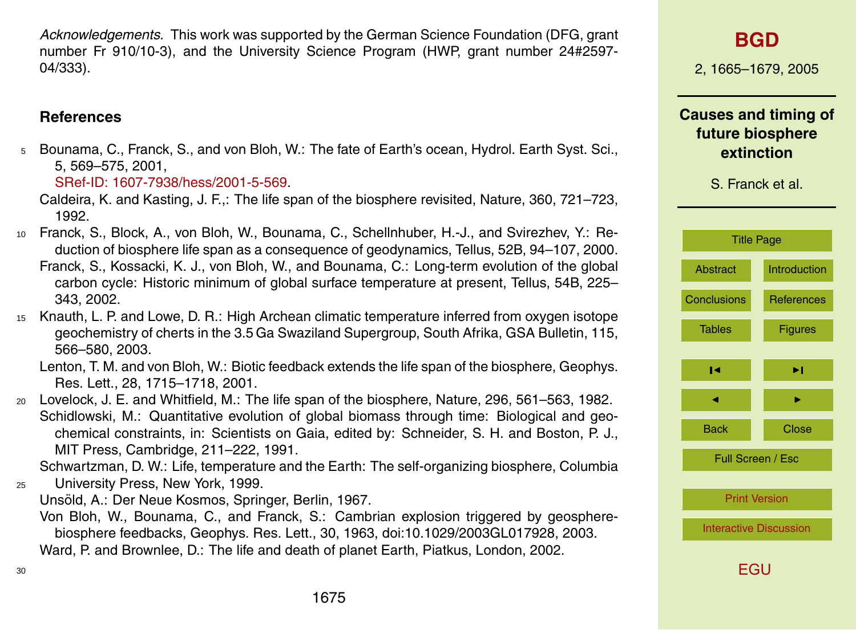*Acknowledgements.* This work was supported by the German Science Foundation (DFG, grant number Fr 910/10-3), and the University Science Program (HWP, grant number 24#2597- 04/333).

#### **References**

<sup>5</sup> Bounama, C., Franck, S., and von Bloh, W.: The fate of Earth's ocean, Hydrol. Earth Syst. Sci., 5, 569–575, 2001,

[SRef-ID: 1607-7938/hess/2001-5-569.](http://direct.sref.org/1607-7938/hess/2001-5-569)

- Caldeira, K. and Kasting, J. F.,: The life span of the biosphere revisited, Nature, 360, 721–723, 1992.
- <sup>10</sup> Franck, S., Block, A., von Bloh, W., Bounama, C., Schellnhuber, H.-J., and Svirezhev, Y.: Reduction of biosphere life span as a consequence of geodynamics, Tellus, 52B, 94–107, 2000. Franck, S., Kossacki, K. J., von Bloh, W., and Bounama, C.: Long-term evolution of the global carbon cycle: Historic minimum of global surface temperature at present, Tellus, 54B, 225– 343, 2002.
- <sup>15</sup> Knauth, L. P. and Lowe, D. R.: High Archean climatic temperature inferred from oxygen isotope geochemistry of cherts in the 3.5 Ga Swaziland Supergroup, South Afrika, GSA Bulletin, 115, 566–580, 2003.

Lenton, T. M. and von Bloh, W.: Biotic feedback extends the life span of the biosphere, Geophys. Res. Lett., 28, 1715–1718, 2001.

<sup>20</sup> Lovelock, J. E. and Whitfield, M.: The life span of the biosphere, Nature, 296, 561–563, 1982. Schidlowski, M.: Quantitative evolution of global biomass through time: Biological and geochemical constraints, in: Scientists on Gaia, edited by: Schneider, S. H. and Boston, P. J., MIT Press, Cambridge, 211–222, 1991.

Schwartzman, D. W.: Life, temperature and the Earth: The self-organizing biosphere, Columbia <sup>25</sup> University Press, New York, 1999.

Unsöld, A.: Der Neue Kosmos, Springer, Berlin, 1967.

Von Bloh, W., Bounama, C., and Franck, S.: Cambrian explosion triggered by geospherebiosphere feedbacks, Geophys. Res. Lett., 30, 1963, doi:10.1029/2003GL017928, 2003. Ward, P. and Brownlee, D.: The life and death of planet Earth, Piatkus, London, 2002.

## **[BGD](http://www.biogeosciences.net/bgd.htm)**

2, 1665–1679, 2005

**Causes and timing of future biosphere extinction**

| <b>Title Page</b>             |                     |  |
|-------------------------------|---------------------|--|
| <b>Abstract</b>               | <b>Introduction</b> |  |
| <b>Conclusions</b>            | <b>References</b>   |  |
| <b>Tables</b>                 | <b>Figures</b>      |  |
| ы                             | ы                   |  |
|                               |                     |  |
| <b>Back</b>                   | Close               |  |
| Full Screen / Esc             |                     |  |
| <b>Print Version</b>          |                     |  |
| <b>Interactive Discussion</b> |                     |  |
| EGU                           |                     |  |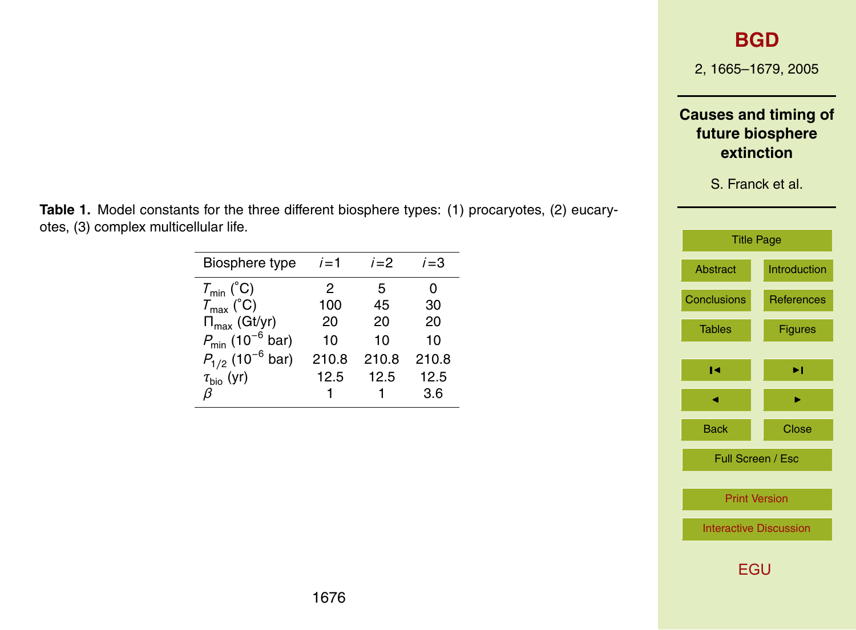## **[BGD](http://www.biogeosciences.net/bgd.htm)**

2, 1665–1679, 2005

### **Causes and timing of future biosphere extinction**

S. Franck et al.

| <b>Title Page</b>             |                     |  |  |
|-------------------------------|---------------------|--|--|
| Abstract                      | <b>Introduction</b> |  |  |
| <b>Conclusions</b>            | <b>References</b>   |  |  |
| <b>Tables</b>                 | <b>Figures</b>      |  |  |
|                               |                     |  |  |
| ы                             | ы                   |  |  |
|                               |                     |  |  |
| Back                          | Close               |  |  |
| Full Screen / Esc             |                     |  |  |
| <b>Print Version</b>          |                     |  |  |
| <b>Interactive Discussion</b> |                     |  |  |
| EGU                           |                     |  |  |

**Table 1.** Model constants for the three different biosphere types: (1) procaryotes, (2) eucaryotes, (3) complex multicellular life.

| Biosphere type                          | $i=1$ | $i=2$ | $i = 3$ |
|-----------------------------------------|-------|-------|---------|
| $T_{min}$ (°C)                          | 2     | 5     | 0       |
| $T_{\text{max}}$ (°C)                   | 100   | 45    | 30      |
| $\Pi_{\text{max}}$ (Gt/yr)              | 20    | 20    | 20      |
| $P_{\text{min}}$ (10 <sup>-6</sup> bar) | 10    | 10    | 10      |
| $P_{1/2}$ (10 <sup>-6</sup> bar)        | 210.8 | 210.8 | 210.8   |
| $\tau_{\text{bio}}$ (yr)                | 12.5  | 12.5  | 12.5    |
|                                         |       |       | 3.6     |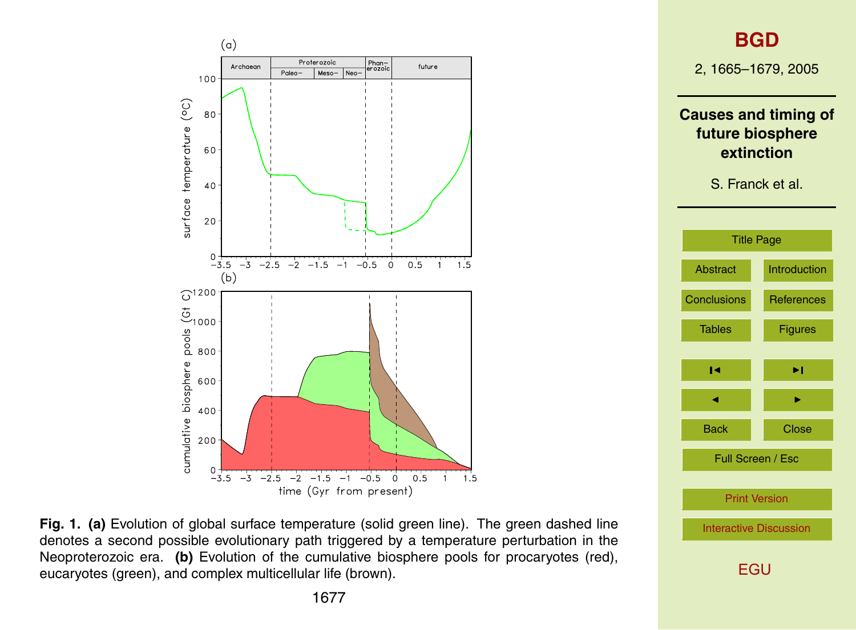



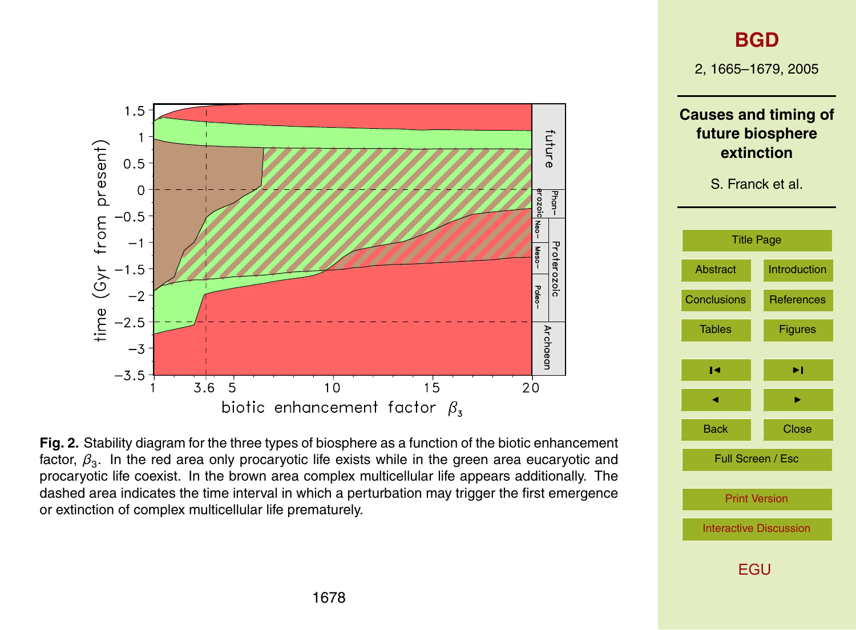

**[BGD](http://www.biogeosciences.net/bgd.htm)**

2, 1665–1679, 2005

**Causes and timing of future biosphere extinction**

S. Franck et al.

| <b>Title Page</b>             |                     |  |
|-------------------------------|---------------------|--|
| <b>Abstract</b>               | <b>Introduction</b> |  |
| <b>Conclusions</b>            | <b>References</b>   |  |
| <b>Tables</b>                 | <b>Figures</b>      |  |
| ы                             | ы                   |  |
|                               |                     |  |
| Back                          | Close               |  |
| Full Screen / Esc             |                     |  |
| <b>Print Version</b>          |                     |  |
| <b>Interactive Discussion</b> |                     |  |
| FGU                           |                     |  |

**Fig. 2.** Stability diagram for the three types of biosphere as a function of the biotic enhancement factor,  $\beta_3$ . In the red area only procaryotic life exists while in the green area eucaryotic and procaryotic life coexist. In the brown area complex multicellular life appears additionally. The dashed area indicates the time interval in which a perturbation may trigger the first emergence or extinction of complex multicellular life prematurely.